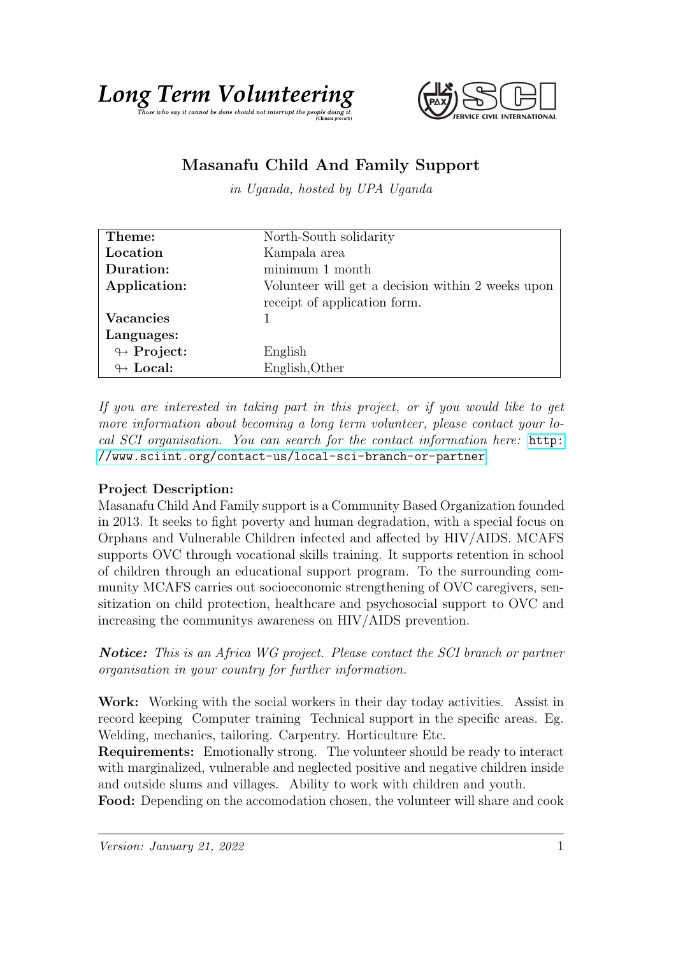

## Masanafu Child And Family Support

in Uganda, hosted by UPA Uganda

| Theme:                     | North-South solidarity                                                            |
|----------------------------|-----------------------------------------------------------------------------------|
| Location                   | Kampala area                                                                      |
| Duration:                  | minimum 1 month                                                                   |
| Application:               | Volunteer will get a decision within 2 weeks upon<br>receipt of application form. |
| <b>Vacancies</b>           |                                                                                   |
| Languages:                 |                                                                                   |
| $\leftrightarrow$ Project: | English                                                                           |
| $\leftrightarrow$ Local:   | English, Other                                                                    |

If you are interested in taking part in this project, or if you would like to get more information about becoming a long term volunteer, please contact your local SCI organisation. You can search for the contact information here: [http:](http://www.sciint.org/contact-us/local-sci-branch-or-partner) [//www.sciint.org/contact-us/local-sci-branch-or-partner](http://www.sciint.org/contact-us/local-sci-branch-or-partner)

## Project Description:

Masanafu Child And Family support is a Community Based Organization founded in 2013. It seeks to fight poverty and human degradation, with a special focus on Orphans and Vulnerable Children infected and affected by HIV/AIDS. MCAFS supports OVC through vocational skills training. It supports retention in school of children through an educational support program. To the surrounding community MCAFS carries out socioeconomic strengthening of OVC caregivers, sensitization on child protection, healthcare and psychosocial support to OVC and increasing the communitys awareness on HIV/AIDS prevention.

Notice: This is an Africa WG project. Please contact the SCI branch or partner organisation in your country for further information.

Work: Working with the social workers in their day today activities. Assist in record keeping Computer training Technical support in the specific areas. Eg. Welding, mechanics, tailoring. Carpentry. Horticulture Etc.

Requirements: Emotionally strong. The volunteer should be ready to interact with marginalized, vulnerable and neglected positive and negative children inside and outside slums and villages. Ability to work with children and youth.

Food: Depending on the accomodation chosen, the volunteer will share and cook